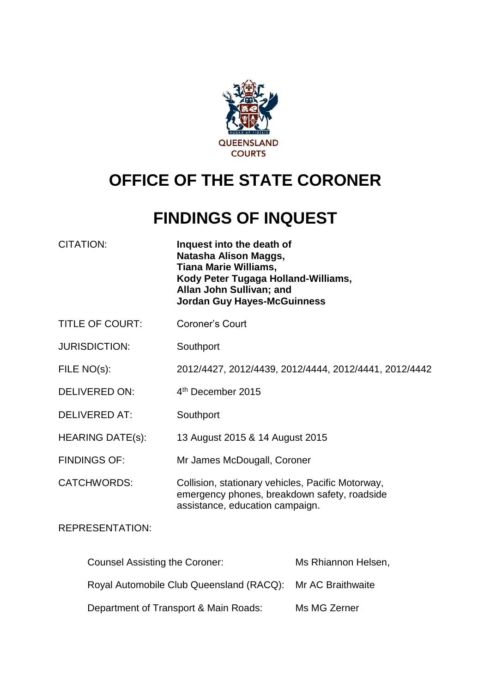

# **OFFICE OF THE STATE CORONER**

# **FINDINGS OF INQUEST**

| <b>CITATION:</b>               | Inquest into the death of<br>Natasha Alison Maggs,<br><b>Tiana Marie Williams,</b><br>Kody Peter Tugaga Holland-Williams,<br>Allan John Sullivan; and<br><b>Jordan Guy Hayes-McGuinness</b> |
|--------------------------------|---------------------------------------------------------------------------------------------------------------------------------------------------------------------------------------------|
| <b>TITLE OF COURT:</b>         | Coroner's Court                                                                                                                                                                             |
| <b>JURISDICTION:</b>           | Southport                                                                                                                                                                                   |
| FILE NO(s):                    | 2012/4427, 2012/4439, 2012/4444, 2012/4441, 2012/4442                                                                                                                                       |
| <b>DELIVERED ON:</b>           | 4 <sup>th</sup> December 2015                                                                                                                                                               |
| <b>DELIVERED AT:</b>           | Southport                                                                                                                                                                                   |
| <b>HEARING DATE(s):</b>        | 13 August 2015 & 14 August 2015                                                                                                                                                             |
| <b>FINDINGS OF:</b>            | Mr James McDougall, Coroner                                                                                                                                                                 |
| <b>CATCHWORDS:</b>             | Collision, stationary vehicles, Pacific Motorway,<br>emergency phones, breakdown safety, roadside<br>assistance, education campaign.                                                        |
| <b>REPRESENTATION:</b>         |                                                                                                                                                                                             |
| Counsel Assisting the Coroner: | Ms Rhiannon Helsen,                                                                                                                                                                         |

Royal Automobile Club Queensland (RACQ): Mr AC Braithwaite

Department of Transport & Main Roads: Ms MG Zerner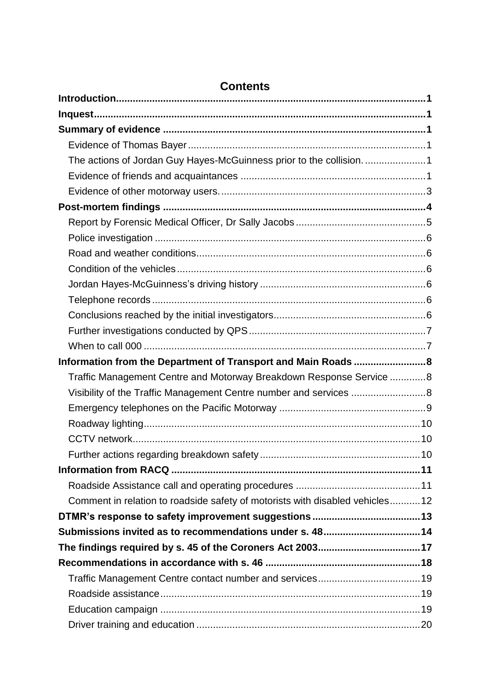| The actions of Jordan Guy Hayes-McGuinness prior to the collision. 1         |  |
|------------------------------------------------------------------------------|--|
|                                                                              |  |
|                                                                              |  |
|                                                                              |  |
|                                                                              |  |
|                                                                              |  |
|                                                                              |  |
|                                                                              |  |
|                                                                              |  |
|                                                                              |  |
|                                                                              |  |
|                                                                              |  |
|                                                                              |  |
| Information from the Department of Transport and Main Roads  8               |  |
| Traffic Management Centre and Motorway Breakdown Response Service 8          |  |
| Visibility of the Traffic Management Centre number and services 8            |  |
|                                                                              |  |
|                                                                              |  |
|                                                                              |  |
|                                                                              |  |
|                                                                              |  |
|                                                                              |  |
| Comment in relation to roadside safety of motorists with disabled vehicles12 |  |
|                                                                              |  |
|                                                                              |  |
|                                                                              |  |
|                                                                              |  |
|                                                                              |  |
|                                                                              |  |
|                                                                              |  |
|                                                                              |  |

# **Contents**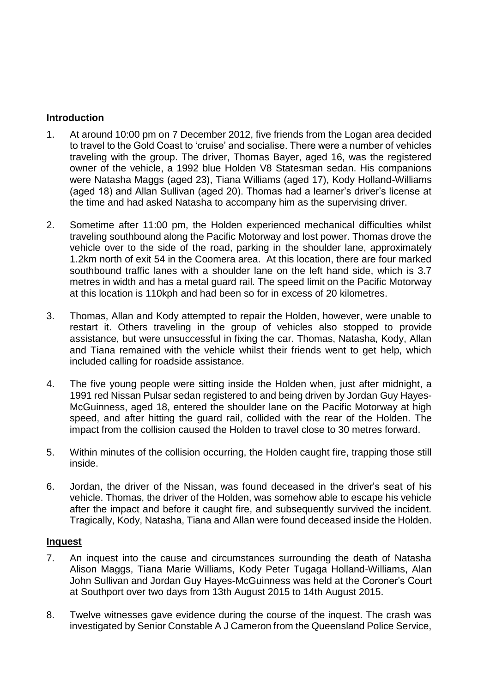# <span id="page-2-0"></span>**Introduction**

- 1. At around 10:00 pm on 7 December 2012, five friends from the Logan area decided to travel to the Gold Coast to 'cruise' and socialise. There were a number of vehicles traveling with the group. The driver, Thomas Bayer, aged 16, was the registered owner of the vehicle, a 1992 blue Holden V8 Statesman sedan. His companions were Natasha Maggs (aged 23), Tiana Williams (aged 17), Kody Holland-Williams (aged 18) and Allan Sullivan (aged 20). Thomas had a learner's driver's license at the time and had asked Natasha to accompany him as the supervising driver.
- 2. Sometime after 11:00 pm, the Holden experienced mechanical difficulties whilst traveling southbound along the Pacific Motorway and lost power. Thomas drove the vehicle over to the side of the road, parking in the shoulder lane, approximately 1.2km north of exit 54 in the Coomera area. At this location, there are four marked southbound traffic lanes with a shoulder lane on the left hand side, which is 3.7 metres in width and has a metal guard rail. The speed limit on the Pacific Motorway at this location is 110kph and had been so for in excess of 20 kilometres.
- 3. Thomas, Allan and Kody attempted to repair the Holden, however, were unable to restart it. Others traveling in the group of vehicles also stopped to provide assistance, but were unsuccessful in fixing the car. Thomas, Natasha, Kody, Allan and Tiana remained with the vehicle whilst their friends went to get help, which included calling for roadside assistance.
- 4. The five young people were sitting inside the Holden when, just after midnight, a 1991 red Nissan Pulsar sedan registered to and being driven by Jordan Guy Hayes-McGuinness, aged 18, entered the shoulder lane on the Pacific Motorway at high speed, and after hitting the guard rail, collided with the rear of the Holden. The impact from the collision caused the Holden to travel close to 30 metres forward.
- 5. Within minutes of the collision occurring, the Holden caught fire, trapping those still inside.
- 6. Jordan, the driver of the Nissan, was found deceased in the driver's seat of his vehicle. Thomas, the driver of the Holden, was somehow able to escape his vehicle after the impact and before it caught fire, and subsequently survived the incident. Tragically, Kody, Natasha, Tiana and Allan were found deceased inside the Holden.

# <span id="page-2-1"></span>**Inquest**

- 7. An inquest into the cause and circumstances surrounding the death of Natasha Alison Maggs, Tiana Marie Williams, Kody Peter Tugaga Holland-Williams, Alan John Sullivan and Jordan Guy Hayes-McGuinness was held at the Coroner's Court at Southport over two days from 13th August 2015 to 14th August 2015.
- 8. Twelve witnesses gave evidence during the course of the inquest. The crash was investigated by Senior Constable A J Cameron from the Queensland Police Service,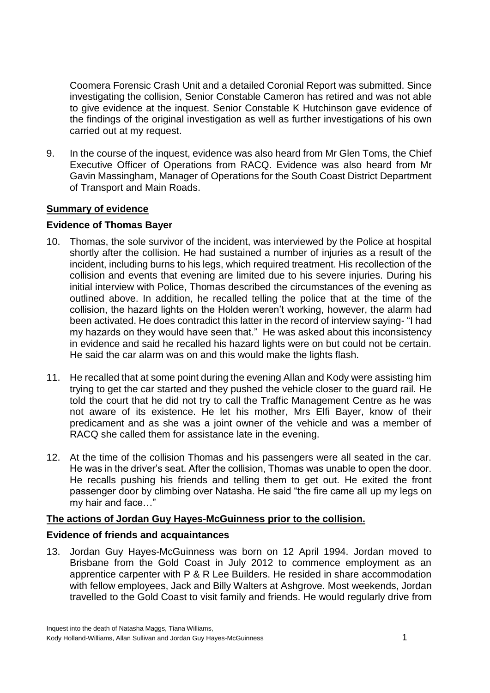Coomera Forensic Crash Unit and a detailed Coronial Report was submitted. Since investigating the collision, Senior Constable Cameron has retired and was not able to give evidence at the inquest. Senior Constable K Hutchinson gave evidence of the findings of the original investigation as well as further investigations of his own carried out at my request.

9. In the course of the inquest, evidence was also heard from Mr Glen Toms, the Chief Executive Officer of Operations from RACQ. Evidence was also heard from Mr Gavin Massingham, Manager of Operations for the South Coast District Department of Transport and Main Roads.

# <span id="page-3-0"></span>**Summary of evidence**

# <span id="page-3-1"></span>**Evidence of Thomas Bayer**

- 10. Thomas, the sole survivor of the incident, was interviewed by the Police at hospital shortly after the collision. He had sustained a number of injuries as a result of the incident, including burns to his legs, which required treatment. His recollection of the collision and events that evening are limited due to his severe injuries. During his initial interview with Police, Thomas described the circumstances of the evening as outlined above. In addition, he recalled telling the police that at the time of the collision, the hazard lights on the Holden weren't working, however, the alarm had been activated. He does contradict this latter in the record of interview saying- "I had my hazards on they would have seen that." He was asked about this inconsistency in evidence and said he recalled his hazard lights were on but could not be certain. He said the car alarm was on and this would make the lights flash.
- 11. He recalled that at some point during the evening Allan and Kody were assisting him trying to get the car started and they pushed the vehicle closer to the guard rail. He told the court that he did not try to call the Traffic Management Centre as he was not aware of its existence. He let his mother, Mrs Elfi Bayer, know of their predicament and as she was a joint owner of the vehicle and was a member of RACQ she called them for assistance late in the evening.
- 12. At the time of the collision Thomas and his passengers were all seated in the car. He was in the driver's seat. After the collision, Thomas was unable to open the door. He recalls pushing his friends and telling them to get out. He exited the front passenger door by climbing over Natasha. He said "the fire came all up my legs on my hair and face…"

# <span id="page-3-2"></span>**The actions of Jordan Guy Hayes-McGuinness prior to the collision.**

# <span id="page-3-3"></span>**Evidence of friends and acquaintances**

13. Jordan Guy Hayes-McGuinness was born on 12 April 1994. Jordan moved to Brisbane from the Gold Coast in July 2012 to commence employment as an apprentice carpenter with P & R Lee Builders. He resided in share accommodation with fellow employees, Jack and Billy Walters at Ashgrove. Most weekends, Jordan travelled to the Gold Coast to visit family and friends. He would regularly drive from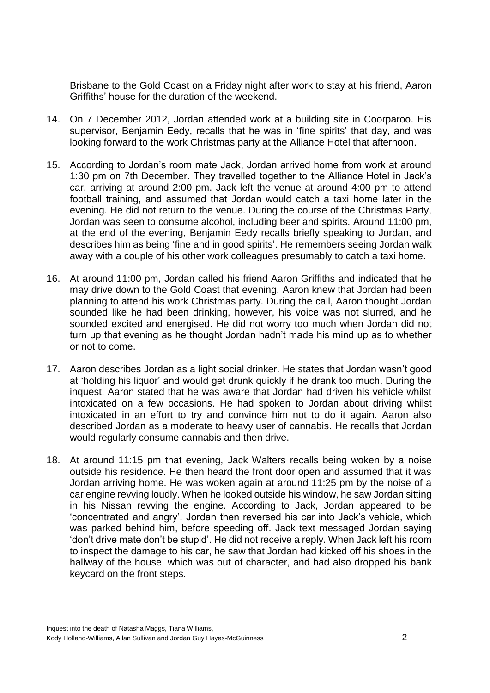Brisbane to the Gold Coast on a Friday night after work to stay at his friend, Aaron Griffiths' house for the duration of the weekend.

- 14. On 7 December 2012, Jordan attended work at a building site in Coorparoo. His supervisor, Benjamin Eedy, recalls that he was in 'fine spirits' that day, and was looking forward to the work Christmas party at the Alliance Hotel that afternoon.
- 15. According to Jordan's room mate Jack, Jordan arrived home from work at around 1:30 pm on 7th December. They travelled together to the Alliance Hotel in Jack's car, arriving at around 2:00 pm. Jack left the venue at around 4:00 pm to attend football training, and assumed that Jordan would catch a taxi home later in the evening. He did not return to the venue. During the course of the Christmas Party, Jordan was seen to consume alcohol, including beer and spirits. Around 11:00 pm, at the end of the evening, Benjamin Eedy recalls briefly speaking to Jordan, and describes him as being 'fine and in good spirits'. He remembers seeing Jordan walk away with a couple of his other work colleagues presumably to catch a taxi home.
- 16. At around 11:00 pm, Jordan called his friend Aaron Griffiths and indicated that he may drive down to the Gold Coast that evening. Aaron knew that Jordan had been planning to attend his work Christmas party. During the call, Aaron thought Jordan sounded like he had been drinking, however, his voice was not slurred, and he sounded excited and energised. He did not worry too much when Jordan did not turn up that evening as he thought Jordan hadn't made his mind up as to whether or not to come.
- 17. Aaron describes Jordan as a light social drinker. He states that Jordan wasn't good at 'holding his liquor' and would get drunk quickly if he drank too much. During the inquest, Aaron stated that he was aware that Jordan had driven his vehicle whilst intoxicated on a few occasions. He had spoken to Jordan about driving whilst intoxicated in an effort to try and convince him not to do it again. Aaron also described Jordan as a moderate to heavy user of cannabis. He recalls that Jordan would regularly consume cannabis and then drive.
- 18. At around 11:15 pm that evening, Jack Walters recalls being woken by a noise outside his residence. He then heard the front door open and assumed that it was Jordan arriving home. He was woken again at around 11:25 pm by the noise of a car engine revving loudly. When he looked outside his window, he saw Jordan sitting in his Nissan revving the engine. According to Jack, Jordan appeared to be 'concentrated and angry'. Jordan then reversed his car into Jack's vehicle, which was parked behind him, before speeding off. Jack text messaged Jordan saying 'don't drive mate don't be stupid'. He did not receive a reply. When Jack left his room to inspect the damage to his car, he saw that Jordan had kicked off his shoes in the hallway of the house, which was out of character, and had also dropped his bank keycard on the front steps.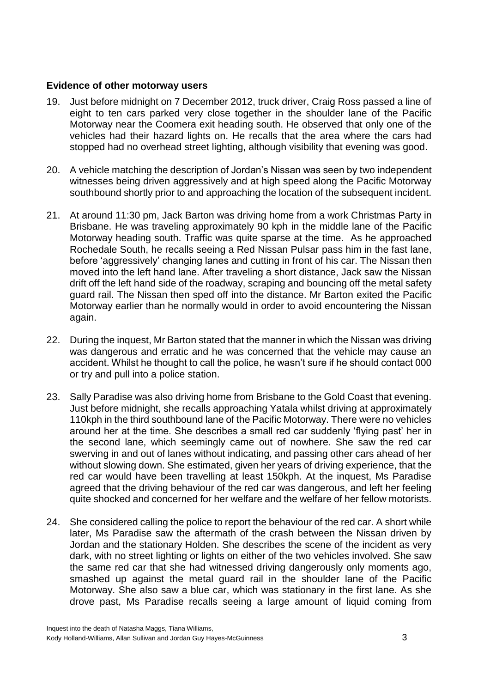# <span id="page-5-0"></span>**Evidence of other motorway users**

- 19. Just before midnight on 7 December 2012, truck driver, Craig Ross passed a line of eight to ten cars parked very close together in the shoulder lane of the Pacific Motorway near the Coomera exit heading south. He observed that only one of the vehicles had their hazard lights on. He recalls that the area where the cars had stopped had no overhead street lighting, although visibility that evening was good.
- 20. A vehicle matching the description of Jordan's Nissan was seen by two independent witnesses being driven aggressively and at high speed along the Pacific Motorway southbound shortly prior to and approaching the location of the subsequent incident.
- 21. At around 11:30 pm, Jack Barton was driving home from a work Christmas Party in Brisbane. He was traveling approximately 90 kph in the middle lane of the Pacific Motorway heading south. Traffic was quite sparse at the time. As he approached Rochedale South, he recalls seeing a Red Nissan Pulsar pass him in the fast lane, before 'aggressively' changing lanes and cutting in front of his car. The Nissan then moved into the left hand lane. After traveling a short distance, Jack saw the Nissan drift off the left hand side of the roadway, scraping and bouncing off the metal safety guard rail. The Nissan then sped off into the distance. Mr Barton exited the Pacific Motorway earlier than he normally would in order to avoid encountering the Nissan again.
- 22. During the inquest, Mr Barton stated that the manner in which the Nissan was driving was dangerous and erratic and he was concerned that the vehicle may cause an accident. Whilst he thought to call the police, he wasn't sure if he should contact 000 or try and pull into a police station.
- 23. Sally Paradise was also driving home from Brisbane to the Gold Coast that evening. Just before midnight, she recalls approaching Yatala whilst driving at approximately 110kph in the third southbound lane of the Pacific Motorway. There were no vehicles around her at the time. She describes a small red car suddenly 'flying past' her in the second lane, which seemingly came out of nowhere. She saw the red car swerving in and out of lanes without indicating, and passing other cars ahead of her without slowing down. She estimated, given her years of driving experience, that the red car would have been travelling at least 150kph. At the inquest, Ms Paradise agreed that the driving behaviour of the red car was dangerous, and left her feeling quite shocked and concerned for her welfare and the welfare of her fellow motorists.
- 24. She considered calling the police to report the behaviour of the red car. A short while later, Ms Paradise saw the aftermath of the crash between the Nissan driven by Jordan and the stationary Holden. She describes the scene of the incident as very dark, with no street lighting or lights on either of the two vehicles involved. She saw the same red car that she had witnessed driving dangerously only moments ago, smashed up against the metal guard rail in the shoulder lane of the Pacific Motorway. She also saw a blue car, which was stationary in the first lane. As she drove past, Ms Paradise recalls seeing a large amount of liquid coming from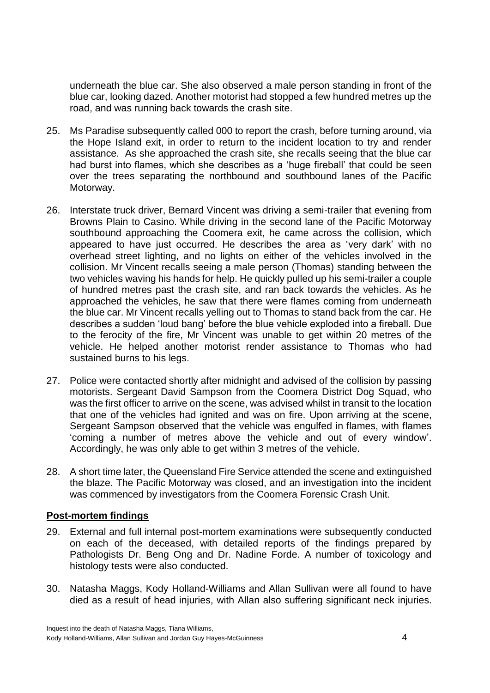underneath the blue car. She also observed a male person standing in front of the blue car, looking dazed. Another motorist had stopped a few hundred metres up the road, and was running back towards the crash site.

- 25. Ms Paradise subsequently called 000 to report the crash, before turning around, via the Hope Island exit, in order to return to the incident location to try and render assistance. As she approached the crash site, she recalls seeing that the blue car had burst into flames, which she describes as a 'huge fireball' that could be seen over the trees separating the northbound and southbound lanes of the Pacific Motorway.
- 26. Interstate truck driver, Bernard Vincent was driving a semi-trailer that evening from Browns Plain to Casino. While driving in the second lane of the Pacific Motorway southbound approaching the Coomera exit, he came across the collision, which appeared to have just occurred. He describes the area as 'very dark' with no overhead street lighting, and no lights on either of the vehicles involved in the collision. Mr Vincent recalls seeing a male person (Thomas) standing between the two vehicles waving his hands for help. He quickly pulled up his semi-trailer a couple of hundred metres past the crash site, and ran back towards the vehicles. As he approached the vehicles, he saw that there were flames coming from underneath the blue car. Mr Vincent recalls yelling out to Thomas to stand back from the car. He describes a sudden 'loud bang' before the blue vehicle exploded into a fireball. Due to the ferocity of the fire, Mr Vincent was unable to get within 20 metres of the vehicle. He helped another motorist render assistance to Thomas who had sustained burns to his legs.
- 27. Police were contacted shortly after midnight and advised of the collision by passing motorists. Sergeant David Sampson from the Coomera District Dog Squad, who was the first officer to arrive on the scene, was advised whilst in transit to the location that one of the vehicles had ignited and was on fire. Upon arriving at the scene, Sergeant Sampson observed that the vehicle was engulfed in flames, with flames 'coming a number of metres above the vehicle and out of every window'. Accordingly, he was only able to get within 3 metres of the vehicle.
- 28. A short time later, the Queensland Fire Service attended the scene and extinguished the blaze. The Pacific Motorway was closed, and an investigation into the incident was commenced by investigators from the Coomera Forensic Crash Unit.

# <span id="page-6-0"></span>**Post-mortem findings**

- 29. External and full internal post-mortem examinations were subsequently conducted on each of the deceased, with detailed reports of the findings prepared by Pathologists Dr. Beng Ong and Dr. Nadine Forde. A number of toxicology and histology tests were also conducted.
- 30. Natasha Maggs, Kody Holland-Williams and Allan Sullivan were all found to have died as a result of head injuries, with Allan also suffering significant neck injuries.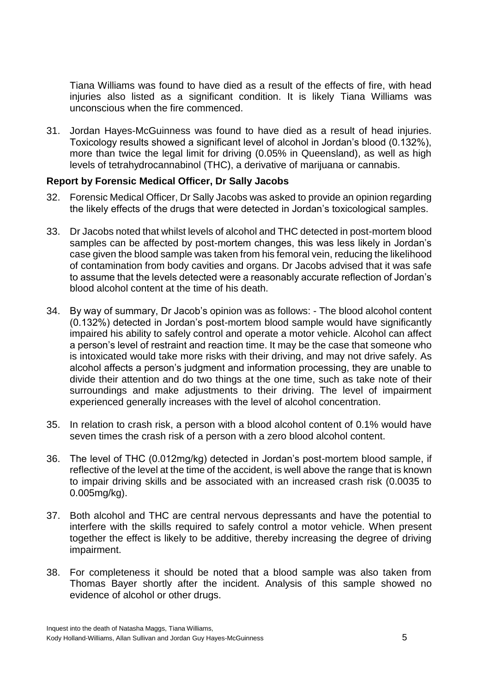Tiana Williams was found to have died as a result of the effects of fire, with head injuries also listed as a significant condition. It is likely Tiana Williams was unconscious when the fire commenced.

31. Jordan Hayes-McGuinness was found to have died as a result of head injuries. Toxicology results showed a significant level of alcohol in Jordan's blood (0.132%), more than twice the legal limit for driving (0.05% in Queensland), as well as high levels of tetrahydrocannabinol (THC), a derivative of marijuana or cannabis.

# <span id="page-7-0"></span>**Report by Forensic Medical Officer, Dr Sally Jacobs**

- 32. Forensic Medical Officer, Dr Sally Jacobs was asked to provide an opinion regarding the likely effects of the drugs that were detected in Jordan's toxicological samples.
- 33. Dr Jacobs noted that whilst levels of alcohol and THC detected in post-mortem blood samples can be affected by post-mortem changes, this was less likely in Jordan's case given the blood sample was taken from his femoral vein, reducing the likelihood of contamination from body cavities and organs. Dr Jacobs advised that it was safe to assume that the levels detected were a reasonably accurate reflection of Jordan's blood alcohol content at the time of his death.
- 34. By way of summary, Dr Jacob's opinion was as follows: The blood alcohol content (0.132%) detected in Jordan's post-mortem blood sample would have significantly impaired his ability to safely control and operate a motor vehicle. Alcohol can affect a person's level of restraint and reaction time. It may be the case that someone who is intoxicated would take more risks with their driving, and may not drive safely. As alcohol affects a person's judgment and information processing, they are unable to divide their attention and do two things at the one time, such as take note of their surroundings and make adjustments to their driving. The level of impairment experienced generally increases with the level of alcohol concentration.
- 35. In relation to crash risk, a person with a blood alcohol content of 0.1% would have seven times the crash risk of a person with a zero blood alcohol content.
- 36. The level of THC (0.012mg/kg) detected in Jordan's post-mortem blood sample, if reflective of the level at the time of the accident, is well above the range that is known to impair driving skills and be associated with an increased crash risk (0.0035 to 0.005mg/kg).
- 37. Both alcohol and THC are central nervous depressants and have the potential to interfere with the skills required to safely control a motor vehicle. When present together the effect is likely to be additive, thereby increasing the degree of driving impairment.
- 38. For completeness it should be noted that a blood sample was also taken from Thomas Bayer shortly after the incident. Analysis of this sample showed no evidence of alcohol or other drugs.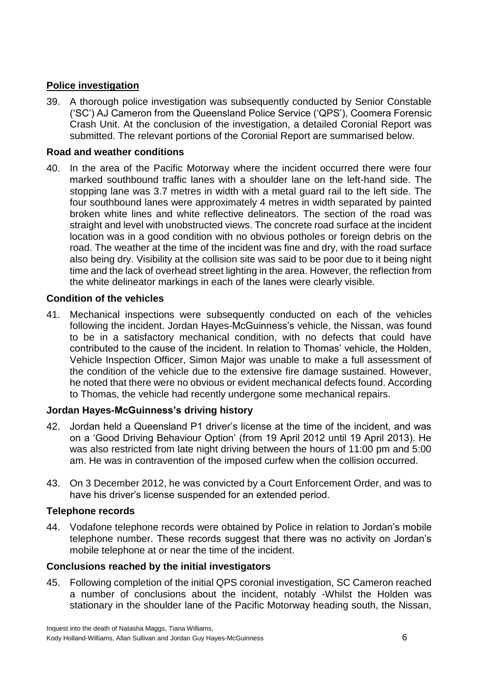# <span id="page-8-0"></span>**Police investigation**

39. A thorough police investigation was subsequently conducted by Senior Constable ('SC') AJ Cameron from the Queensland Police Service ('QPS'), Coomera Forensic Crash Unit. At the conclusion of the investigation, a detailed Coronial Report was submitted. The relevant portions of the Coronial Report are summarised below.

# <span id="page-8-1"></span>**Road and weather conditions**

40. In the area of the Pacific Motorway where the incident occurred there were four marked southbound traffic lanes with a shoulder lane on the left-hand side. The stopping lane was 3.7 metres in width with a metal guard rail to the left side. The four southbound lanes were approximately 4 metres in width separated by painted broken white lines and white reflective delineators. The section of the road was straight and level with unobstructed views. The concrete road surface at the incident location was in a good condition with no obvious potholes or foreign debris on the road. The weather at the time of the incident was fine and dry, with the road surface also being dry. Visibility at the collision site was said to be poor due to it being night time and the lack of overhead street lighting in the area. However, the reflection from the white delineator markings in each of the lanes were clearly visible.

# <span id="page-8-2"></span>**Condition of the vehicles**

41. Mechanical inspections were subsequently conducted on each of the vehicles following the incident. Jordan Hayes-McGuinness's vehicle, the Nissan, was found to be in a satisfactory mechanical condition, with no defects that could have contributed to the cause of the incident. In relation to Thomas' vehicle, the Holden, Vehicle Inspection Officer, Simon Major was unable to make a full assessment of the condition of the vehicle due to the extensive fire damage sustained. However, he noted that there were no obvious or evident mechanical defects found. According to Thomas, the vehicle had recently undergone some mechanical repairs.

# <span id="page-8-3"></span>**Jordan Hayes-McGuinness's driving history**

- 42. Jordan held a Queensland P1 driver's license at the time of the incident, and was on a 'Good Driving Behaviour Option' (from 19 April 2012 until 19 April 2013). He was also restricted from late night driving between the hours of 11:00 pm and 5:00 am. He was in contravention of the imposed curfew when the collision occurred.
- 43. On 3 December 2012, he was convicted by a Court Enforcement Order, and was to have his driver's license suspended for an extended period.

# <span id="page-8-4"></span>**Telephone records**

44. Vodafone telephone records were obtained by Police in relation to Jordan's mobile telephone number. These records suggest that there was no activity on Jordan's mobile telephone at or near the time of the incident.

# <span id="page-8-5"></span>**Conclusions reached by the initial investigators**

45. Following completion of the initial QPS coronial investigation, SC Cameron reached a number of conclusions about the incident, notably -Whilst the Holden was stationary in the shoulder lane of the Pacific Motorway heading south, the Nissan,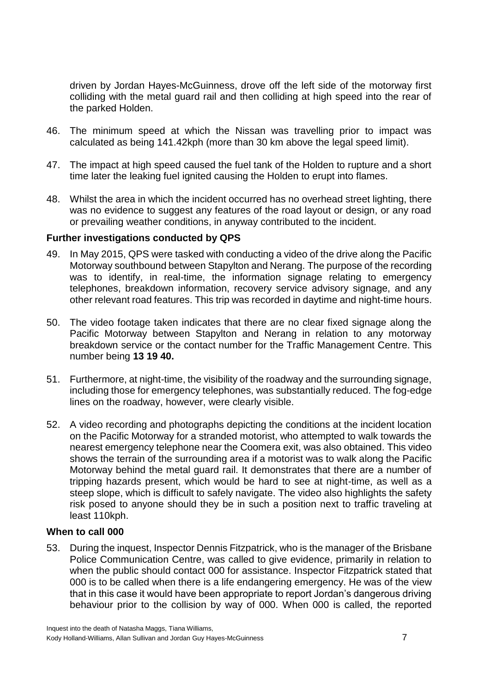driven by Jordan Hayes-McGuinness, drove off the left side of the motorway first colliding with the metal guard rail and then colliding at high speed into the rear of the parked Holden.

- 46. The minimum speed at which the Nissan was travelling prior to impact was calculated as being 141.42kph (more than 30 km above the legal speed limit).
- 47. The impact at high speed caused the fuel tank of the Holden to rupture and a short time later the leaking fuel ignited causing the Holden to erupt into flames.
- 48. Whilst the area in which the incident occurred has no overhead street lighting, there was no evidence to suggest any features of the road layout or design, or any road or prevailing weather conditions, in anyway contributed to the incident.

#### <span id="page-9-0"></span>**Further investigations conducted by QPS**

- 49. In May 2015, QPS were tasked with conducting a video of the drive along the Pacific Motorway southbound between Stapylton and Nerang. The purpose of the recording was to identify, in real-time, the information signage relating to emergency telephones, breakdown information, recovery service advisory signage, and any other relevant road features. This trip was recorded in daytime and night-time hours.
- 50. The video footage taken indicates that there are no clear fixed signage along the Pacific Motorway between Stapylton and Nerang in relation to any motorway breakdown service or the contact number for the Traffic Management Centre. This number being **13 19 40.**
- 51. Furthermore, at night-time, the visibility of the roadway and the surrounding signage, including those for emergency telephones, was substantially reduced. The fog-edge lines on the roadway, however, were clearly visible.
- 52. A video recording and photographs depicting the conditions at the incident location on the Pacific Motorway for a stranded motorist, who attempted to walk towards the nearest emergency telephone near the Coomera exit, was also obtained. This video shows the terrain of the surrounding area if a motorist was to walk along the Pacific Motorway behind the metal guard rail. It demonstrates that there are a number of tripping hazards present, which would be hard to see at night-time, as well as a steep slope, which is difficult to safely navigate. The video also highlights the safety risk posed to anyone should they be in such a position next to traffic traveling at least 110kph.

#### <span id="page-9-1"></span>**When to call 000**

53. During the inquest, Inspector Dennis Fitzpatrick, who is the manager of the Brisbane Police Communication Centre, was called to give evidence, primarily in relation to when the public should contact 000 for assistance. Inspector Fitzpatrick stated that 000 is to be called when there is a life endangering emergency. He was of the view that in this case it would have been appropriate to report Jordan's dangerous driving behaviour prior to the collision by way of 000. When 000 is called, the reported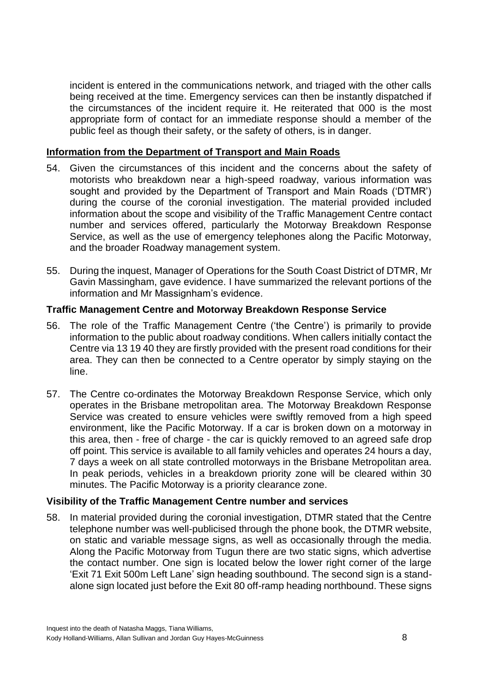incident is entered in the communications network, and triaged with the other calls being received at the time. Emergency services can then be instantly dispatched if the circumstances of the incident require it. He reiterated that 000 is the most appropriate form of contact for an immediate response should a member of the public feel as though their safety, or the safety of others, is in danger.

# <span id="page-10-0"></span>**Information from the Department of Transport and Main Roads**

- 54. Given the circumstances of this incident and the concerns about the safety of motorists who breakdown near a high-speed roadway, various information was sought and provided by the Department of Transport and Main Roads ('DTMR') during the course of the coronial investigation. The material provided included information about the scope and visibility of the Traffic Management Centre contact number and services offered, particularly the Motorway Breakdown Response Service, as well as the use of emergency telephones along the Pacific Motorway, and the broader Roadway management system.
- 55. During the inquest, Manager of Operations for the South Coast District of DTMR, Mr Gavin Massingham, gave evidence. I have summarized the relevant portions of the information and Mr Massignham's evidence.

# <span id="page-10-1"></span>**Traffic Management Centre and Motorway Breakdown Response Service**

- 56. The role of the Traffic Management Centre ('the Centre') is primarily to provide information to the public about roadway conditions. When callers initially contact the Centre via 13 19 40 they are firstly provided with the present road conditions for their area. They can then be connected to a Centre operator by simply staying on the line.
- 57. The Centre co-ordinates the Motorway Breakdown Response Service, which only operates in the Brisbane metropolitan area. The Motorway Breakdown Response Service was created to ensure vehicles were swiftly removed from a high speed environment, like the Pacific Motorway. If a car is broken down on a motorway in this area, then - free of charge - the car is quickly removed to an agreed safe drop off point. This service is available to all family vehicles and operates 24 hours a day, 7 days a week on all state controlled motorways in the Brisbane Metropolitan area. In peak periods, vehicles in a breakdown priority zone will be cleared within 30 minutes. The Pacific Motorway is a priority clearance zone.

# <span id="page-10-2"></span>**Visibility of the Traffic Management Centre number and services**

58. In material provided during the coronial investigation, DTMR stated that the Centre telephone number was well-publicised through the phone book, the DTMR website, on static and variable message signs, as well as occasionally through the media. Along the Pacific Motorway from Tugun there are two static signs, which advertise the contact number. One sign is located below the lower right corner of the large 'Exit 71 Exit 500m Left Lane' sign heading southbound. The second sign is a standalone sign located just before the Exit 80 off-ramp heading northbound. These signs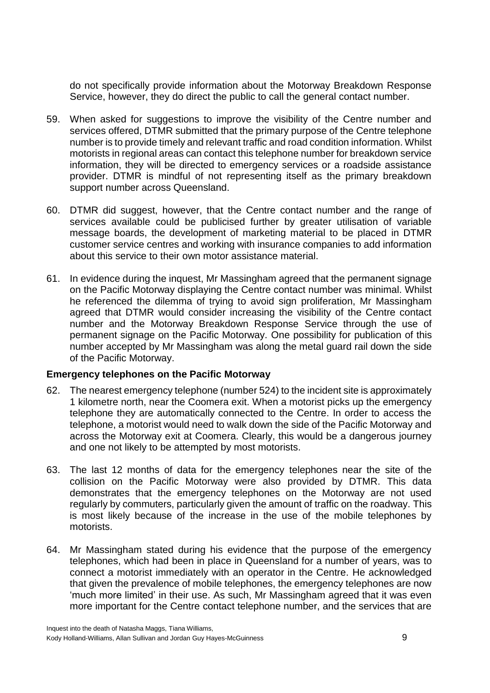do not specifically provide information about the Motorway Breakdown Response Service, however, they do direct the public to call the general contact number.

- 59. When asked for suggestions to improve the visibility of the Centre number and services offered, DTMR submitted that the primary purpose of the Centre telephone number is to provide timely and relevant traffic and road condition information. Whilst motorists in regional areas can contact this telephone number for breakdown service information, they will be directed to emergency services or a roadside assistance provider. DTMR is mindful of not representing itself as the primary breakdown support number across Queensland.
- 60. DTMR did suggest, however, that the Centre contact number and the range of services available could be publicised further by greater utilisation of variable message boards, the development of marketing material to be placed in DTMR customer service centres and working with insurance companies to add information about this service to their own motor assistance material.
- 61. In evidence during the inquest, Mr Massingham agreed that the permanent signage on the Pacific Motorway displaying the Centre contact number was minimal. Whilst he referenced the dilemma of trying to avoid sign proliferation, Mr Massingham agreed that DTMR would consider increasing the visibility of the Centre contact number and the Motorway Breakdown Response Service through the use of permanent signage on the Pacific Motorway. One possibility for publication of this number accepted by Mr Massingham was along the metal guard rail down the side of the Pacific Motorway.

# <span id="page-11-0"></span>**Emergency telephones on the Pacific Motorway**

- 62. The nearest emergency telephone (number 524) to the incident site is approximately 1 kilometre north, near the Coomera exit. When a motorist picks up the emergency telephone they are automatically connected to the Centre. In order to access the telephone, a motorist would need to walk down the side of the Pacific Motorway and across the Motorway exit at Coomera. Clearly, this would be a dangerous journey and one not likely to be attempted by most motorists.
- 63. The last 12 months of data for the emergency telephones near the site of the collision on the Pacific Motorway were also provided by DTMR. This data demonstrates that the emergency telephones on the Motorway are not used regularly by commuters, particularly given the amount of traffic on the roadway. This is most likely because of the increase in the use of the mobile telephones by motorists.
- 64. Mr Massingham stated during his evidence that the purpose of the emergency telephones, which had been in place in Queensland for a number of years, was to connect a motorist immediately with an operator in the Centre. He acknowledged that given the prevalence of mobile telephones, the emergency telephones are now 'much more limited' in their use. As such, Mr Massingham agreed that it was even more important for the Centre contact telephone number, and the services that are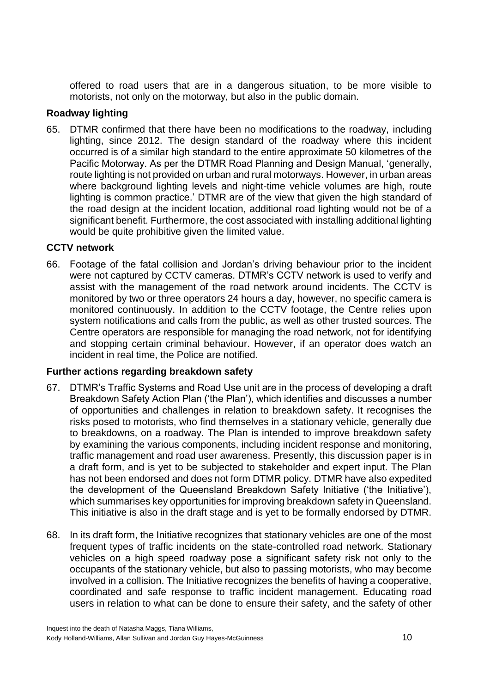offered to road users that are in a dangerous situation, to be more visible to motorists, not only on the motorway, but also in the public domain.

# <span id="page-12-0"></span>**Roadway lighting**

65. DTMR confirmed that there have been no modifications to the roadway, including lighting, since 2012. The design standard of the roadway where this incident occurred is of a similar high standard to the entire approximate 50 kilometres of the Pacific Motorway. As per the DTMR Road Planning and Design Manual, 'generally, route lighting is not provided on urban and rural motorways. However, in urban areas where background lighting levels and night-time vehicle volumes are high, route lighting is common practice.' DTMR are of the view that given the high standard of the road design at the incident location, additional road lighting would not be of a significant benefit. Furthermore, the cost associated with installing additional lighting would be quite prohibitive given the limited value.

# <span id="page-12-1"></span>**CCTV network**

66. Footage of the fatal collision and Jordan's driving behaviour prior to the incident were not captured by CCTV cameras. DTMR's CCTV network is used to verify and assist with the management of the road network around incidents. The CCTV is monitored by two or three operators 24 hours a day, however, no specific camera is monitored continuously. In addition to the CCTV footage, the Centre relies upon system notifications and calls from the public, as well as other trusted sources. The Centre operators are responsible for managing the road network, not for identifying and stopping certain criminal behaviour. However, if an operator does watch an incident in real time, the Police are notified.

# <span id="page-12-2"></span>**Further actions regarding breakdown safety**

- 67. DTMR's Traffic Systems and Road Use unit are in the process of developing a draft Breakdown Safety Action Plan ('the Plan'), which identifies and discusses a number of opportunities and challenges in relation to breakdown safety. It recognises the risks posed to motorists, who find themselves in a stationary vehicle, generally due to breakdowns, on a roadway. The Plan is intended to improve breakdown safety by examining the various components, including incident response and monitoring, traffic management and road user awareness. Presently, this discussion paper is in a draft form, and is yet to be subjected to stakeholder and expert input. The Plan has not been endorsed and does not form DTMR policy. DTMR have also expedited the development of the Queensland Breakdown Safety Initiative ('the Initiative'), which summarises key opportunities for improving breakdown safety in Queensland. This initiative is also in the draft stage and is yet to be formally endorsed by DTMR.
- 68. In its draft form, the Initiative recognizes that stationary vehicles are one of the most frequent types of traffic incidents on the state-controlled road network. Stationary vehicles on a high speed roadway pose a significant safety risk not only to the occupants of the stationary vehicle, but also to passing motorists, who may become involved in a collision. The Initiative recognizes the benefits of having a cooperative, coordinated and safe response to traffic incident management. Educating road users in relation to what can be done to ensure their safety, and the safety of other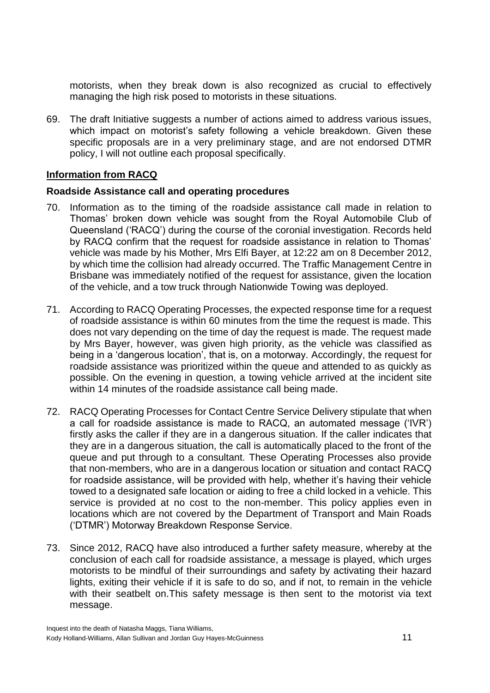motorists, when they break down is also recognized as crucial to effectively managing the high risk posed to motorists in these situations.

69. The draft Initiative suggests a number of actions aimed to address various issues, which impact on motorist's safety following a vehicle breakdown. Given these specific proposals are in a very preliminary stage, and are not endorsed DTMR policy, I will not outline each proposal specifically.

# <span id="page-13-0"></span>**Information from RACQ**

#### <span id="page-13-1"></span>**Roadside Assistance call and operating procedures**

- 70. Information as to the timing of the roadside assistance call made in relation to Thomas' broken down vehicle was sought from the Royal Automobile Club of Queensland ('RACQ') during the course of the coronial investigation. Records held by RACQ confirm that the request for roadside assistance in relation to Thomas' vehicle was made by his Mother, Mrs Elfi Bayer, at 12:22 am on 8 December 2012, by which time the collision had already occurred. The Traffic Management Centre in Brisbane was immediately notified of the request for assistance, given the location of the vehicle, and a tow truck through Nationwide Towing was deployed.
- 71. According to RACQ Operating Processes, the expected response time for a request of roadside assistance is within 60 minutes from the time the request is made. This does not vary depending on the time of day the request is made. The request made by Mrs Bayer, however, was given high priority, as the vehicle was classified as being in a 'dangerous location', that is, on a motorway. Accordingly, the request for roadside assistance was prioritized within the queue and attended to as quickly as possible. On the evening in question, a towing vehicle arrived at the incident site within 14 minutes of the roadside assistance call being made.
- 72. RACQ Operating Processes for Contact Centre Service Delivery stipulate that when a call for roadside assistance is made to RACQ, an automated message ('IVR') firstly asks the caller if they are in a dangerous situation. If the caller indicates that they are in a dangerous situation, the call is automatically placed to the front of the queue and put through to a consultant. These Operating Processes also provide that non-members, who are in a dangerous location or situation and contact RACQ for roadside assistance, will be provided with help, whether it's having their vehicle towed to a designated safe location or aiding to free a child locked in a vehicle. This service is provided at no cost to the non-member. This policy applies even in locations which are not covered by the Department of Transport and Main Roads ('DTMR') Motorway Breakdown Response Service.
- 73. Since 2012, RACQ have also introduced a further safety measure, whereby at the conclusion of each call for roadside assistance, a message is played, which urges motorists to be mindful of their surroundings and safety by activating their hazard lights, exiting their vehicle if it is safe to do so, and if not, to remain in the vehicle with their seatbelt on. This safety message is then sent to the motorist via text message.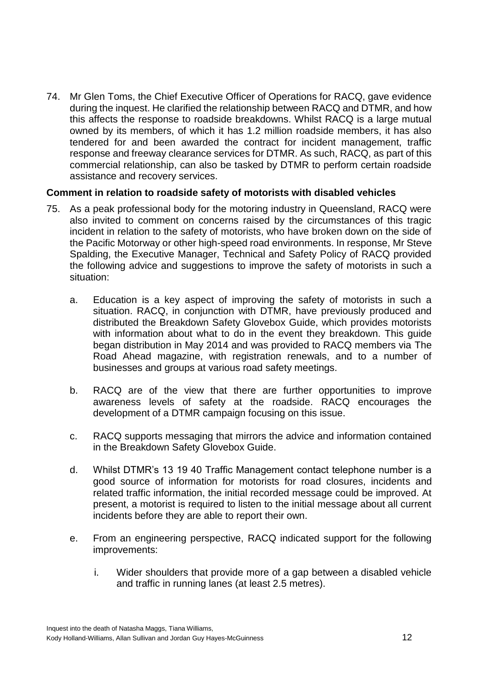74. Mr Glen Toms, the Chief Executive Officer of Operations for RACQ, gave evidence during the inquest. He clarified the relationship between RACQ and DTMR, and how this affects the response to roadside breakdowns. Whilst RACQ is a large mutual owned by its members, of which it has 1.2 million roadside members, it has also tendered for and been awarded the contract for incident management, traffic response and freeway clearance services for DTMR. As such, RACQ, as part of this commercial relationship, can also be tasked by DTMR to perform certain roadside assistance and recovery services.

# <span id="page-14-0"></span>**Comment in relation to roadside safety of motorists with disabled vehicles**

- 75. As a peak professional body for the motoring industry in Queensland, RACQ were also invited to comment on concerns raised by the circumstances of this tragic incident in relation to the safety of motorists, who have broken down on the side of the Pacific Motorway or other high-speed road environments. In response, Mr Steve Spalding, the Executive Manager, Technical and Safety Policy of RACQ provided the following advice and suggestions to improve the safety of motorists in such a situation:
	- a. Education is a key aspect of improving the safety of motorists in such a situation. RACQ, in conjunction with DTMR, have previously produced and distributed the Breakdown Safety Glovebox Guide, which provides motorists with information about what to do in the event they breakdown. This guide began distribution in May 2014 and was provided to RACQ members via The Road Ahead magazine, with registration renewals, and to a number of businesses and groups at various road safety meetings.
	- b. RACQ are of the view that there are further opportunities to improve awareness levels of safety at the roadside. RACQ encourages the development of a DTMR campaign focusing on this issue.
	- c. RACQ supports messaging that mirrors the advice and information contained in the Breakdown Safety Glovebox Guide.
	- d. Whilst DTMR's 13 19 40 Traffic Management contact telephone number is a good source of information for motorists for road closures, incidents and related traffic information, the initial recorded message could be improved. At present, a motorist is required to listen to the initial message about all current incidents before they are able to report their own.
	- e. From an engineering perspective, RACQ indicated support for the following improvements:
		- i. Wider shoulders that provide more of a gap between a disabled vehicle and traffic in running lanes (at least 2.5 metres).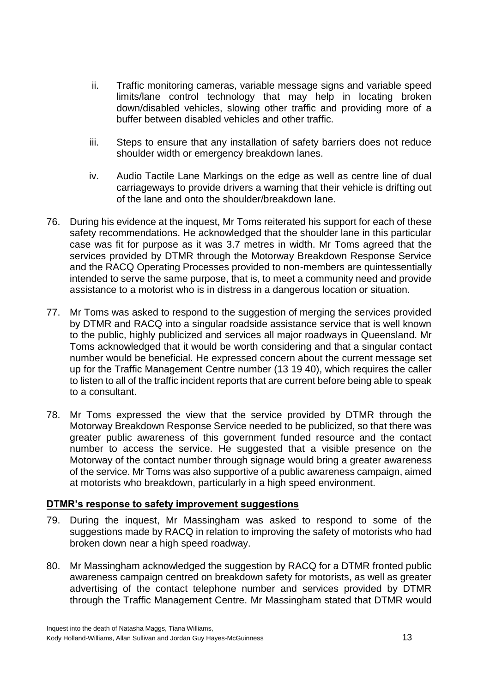- ii. Traffic monitoring cameras, variable message signs and variable speed limits/lane control technology that may help in locating broken down/disabled vehicles, slowing other traffic and providing more of a buffer between disabled vehicles and other traffic.
- iii. Steps to ensure that any installation of safety barriers does not reduce shoulder width or emergency breakdown lanes.
- iv. Audio Tactile Lane Markings on the edge as well as centre line of dual carriageways to provide drivers a warning that their vehicle is drifting out of the lane and onto the shoulder/breakdown lane.
- 76. During his evidence at the inquest, Mr Toms reiterated his support for each of these safety recommendations. He acknowledged that the shoulder lane in this particular case was fit for purpose as it was 3.7 metres in width. Mr Toms agreed that the services provided by DTMR through the Motorway Breakdown Response Service and the RACQ Operating Processes provided to non-members are quintessentially intended to serve the same purpose, that is, to meet a community need and provide assistance to a motorist who is in distress in a dangerous location or situation.
- 77. Mr Toms was asked to respond to the suggestion of merging the services provided by DTMR and RACQ into a singular roadside assistance service that is well known to the public, highly publicized and services all major roadways in Queensland. Mr Toms acknowledged that it would be worth considering and that a singular contact number would be beneficial. He expressed concern about the current message set up for the Traffic Management Centre number (13 19 40), which requires the caller to listen to all of the traffic incident reports that are current before being able to speak to a consultant.
- 78. Mr Toms expressed the view that the service provided by DTMR through the Motorway Breakdown Response Service needed to be publicized, so that there was greater public awareness of this government funded resource and the contact number to access the service. He suggested that a visible presence on the Motorway of the contact number through signage would bring a greater awareness of the service. Mr Toms was also supportive of a public awareness campaign, aimed at motorists who breakdown, particularly in a high speed environment.

# <span id="page-15-0"></span>**DTMR's response to safety improvement suggestions**

- 79. During the inquest, Mr Massingham was asked to respond to some of the suggestions made by RACQ in relation to improving the safety of motorists who had broken down near a high speed roadway.
- 80. Mr Massingham acknowledged the suggestion by RACQ for a DTMR fronted public awareness campaign centred on breakdown safety for motorists, as well as greater advertising of the contact telephone number and services provided by DTMR through the Traffic Management Centre. Mr Massingham stated that DTMR would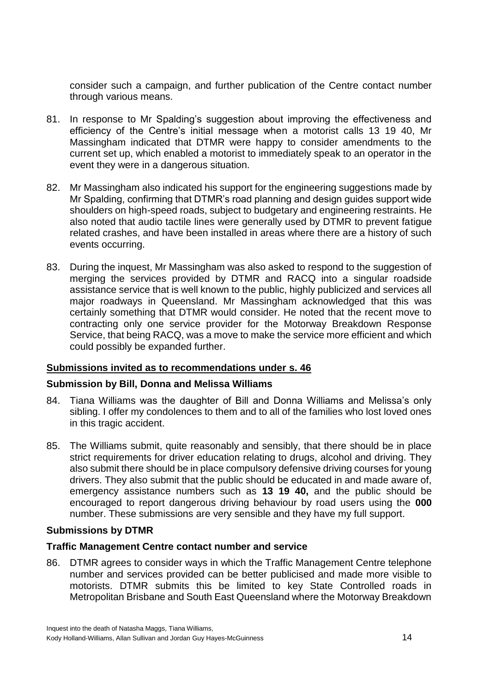consider such a campaign, and further publication of the Centre contact number through various means.

- 81. In response to Mr Spalding's suggestion about improving the effectiveness and efficiency of the Centre's initial message when a motorist calls 13 19 40, Mr Massingham indicated that DTMR were happy to consider amendments to the current set up, which enabled a motorist to immediately speak to an operator in the event they were in a dangerous situation.
- 82. Mr Massingham also indicated his support for the engineering suggestions made by Mr Spalding, confirming that DTMR's road planning and design guides support wide shoulders on high-speed roads, subject to budgetary and engineering restraints. He also noted that audio tactile lines were generally used by DTMR to prevent fatigue related crashes, and have been installed in areas where there are a history of such events occurring.
- 83. During the inquest, Mr Massingham was also asked to respond to the suggestion of merging the services provided by DTMR and RACQ into a singular roadside assistance service that is well known to the public, highly publicized and services all major roadways in Queensland. Mr Massingham acknowledged that this was certainly something that DTMR would consider. He noted that the recent move to contracting only one service provider for the Motorway Breakdown Response Service, that being RACQ, was a move to make the service more efficient and which could possibly be expanded further.

# <span id="page-16-0"></span>**Submissions invited as to recommendations under s. 46**

#### **Submission by Bill, Donna and Melissa Williams**

- 84. Tiana Williams was the daughter of Bill and Donna Williams and Melissa's only sibling. I offer my condolences to them and to all of the families who lost loved ones in this tragic accident.
- 85. The Williams submit, quite reasonably and sensibly, that there should be in place strict requirements for driver education relating to drugs, alcohol and driving. They also submit there should be in place compulsory defensive driving courses for young drivers. They also submit that the public should be educated in and made aware of, emergency assistance numbers such as **13 19 40,** and the public should be encouraged to report dangerous driving behaviour by road users using the **000** number. These submissions are very sensible and they have my full support.

# **Submissions by DTMR**

# **Traffic Management Centre contact number and service**

86. DTMR agrees to consider ways in which the Traffic Management Centre telephone number and services provided can be better publicised and made more visible to motorists. DTMR submits this be limited to key State Controlled roads in Metropolitan Brisbane and South East Queensland where the Motorway Breakdown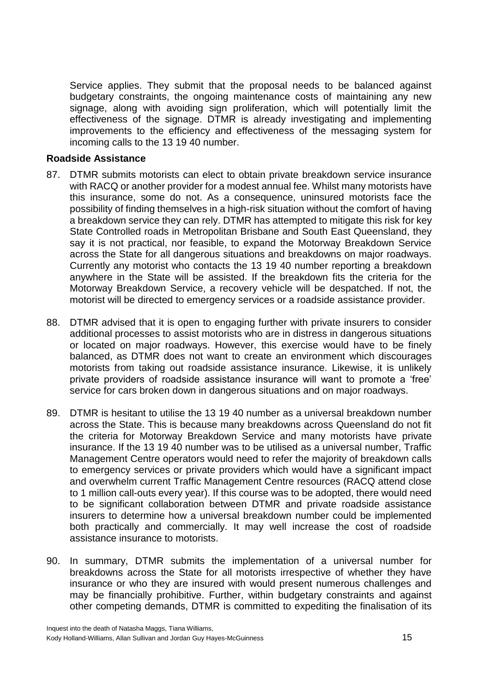Service applies. They submit that the proposal needs to be balanced against budgetary constraints, the ongoing maintenance costs of maintaining any new signage, along with avoiding sign proliferation, which will potentially limit the effectiveness of the signage. DTMR is already investigating and implementing improvements to the efficiency and effectiveness of the messaging system for incoming calls to the 13 19 40 number.

#### **Roadside Assistance**

- 87. DTMR submits motorists can elect to obtain private breakdown service insurance with RACQ or another provider for a modest annual fee. Whilst many motorists have this insurance, some do not. As a consequence, uninsured motorists face the possibility of finding themselves in a high-risk situation without the comfort of having a breakdown service they can rely. DTMR has attempted to mitigate this risk for key State Controlled roads in Metropolitan Brisbane and South East Queensland, they say it is not practical, nor feasible, to expand the Motorway Breakdown Service across the State for all dangerous situations and breakdowns on major roadways. Currently any motorist who contacts the 13 19 40 number reporting a breakdown anywhere in the State will be assisted. If the breakdown fits the criteria for the Motorway Breakdown Service, a recovery vehicle will be despatched. If not, the motorist will be directed to emergency services or a roadside assistance provider.
- 88. DTMR advised that it is open to engaging further with private insurers to consider additional processes to assist motorists who are in distress in dangerous situations or located on major roadways. However, this exercise would have to be finely balanced, as DTMR does not want to create an environment which discourages motorists from taking out roadside assistance insurance. Likewise, it is unlikely private providers of roadside assistance insurance will want to promote a 'free' service for cars broken down in dangerous situations and on major roadways.
- 89. DTMR is hesitant to utilise the 13 19 40 number as a universal breakdown number across the State. This is because many breakdowns across Queensland do not fit the criteria for Motorway Breakdown Service and many motorists have private insurance. If the 13 19 40 number was to be utilised as a universal number, Traffic Management Centre operators would need to refer the majority of breakdown calls to emergency services or private providers which would have a significant impact and overwhelm current Traffic Management Centre resources (RACQ attend close to 1 million call-outs every year). If this course was to be adopted, there would need to be significant collaboration between DTMR and private roadside assistance insurers to determine how a universal breakdown number could be implemented both practically and commercially. It may well increase the cost of roadside assistance insurance to motorists.
- 90. In summary, DTMR submits the implementation of a universal number for breakdowns across the State for all motorists irrespective of whether they have insurance or who they are insured with would present numerous challenges and may be financially prohibitive. Further, within budgetary constraints and against other competing demands, DTMR is committed to expediting the finalisation of its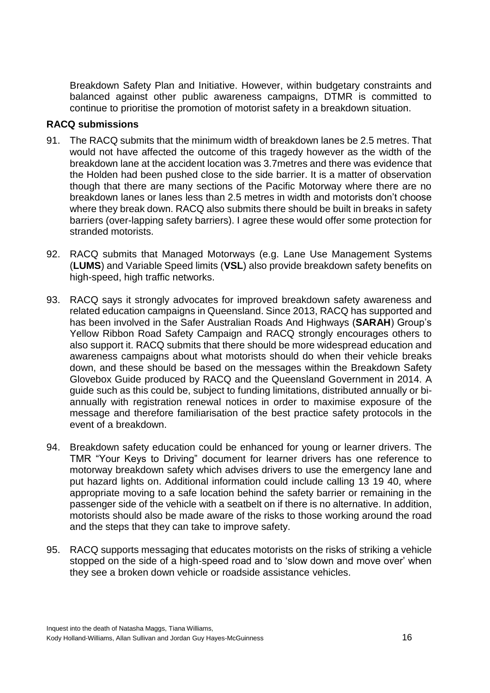Breakdown Safety Plan and Initiative. However, within budgetary constraints and balanced against other public awareness campaigns, DTMR is committed to continue to prioritise the promotion of motorist safety in a breakdown situation.

# **RACQ submissions**

- 91. The RACQ submits that the minimum width of breakdown lanes be 2.5 metres. That would not have affected the outcome of this tragedy however as the width of the breakdown lane at the accident location was 3.7metres and there was evidence that the Holden had been pushed close to the side barrier. It is a matter of observation though that there are many sections of the Pacific Motorway where there are no breakdown lanes or lanes less than 2.5 metres in width and motorists don't choose where they break down. RACQ also submits there should be built in breaks in safety barriers (over-lapping safety barriers). I agree these would offer some protection for stranded motorists.
- 92. RACQ submits that Managed Motorways (e.g. Lane Use Management Systems (**LUMS**) and Variable Speed limits (**VSL**) also provide breakdown safety benefits on high-speed, high traffic networks.
- 93. RACQ says it strongly advocates for improved breakdown safety awareness and related education campaigns in Queensland. Since 2013, RACQ has supported and has been involved in the Safer Australian Roads And Highways (**SARAH**) Group's Yellow Ribbon Road Safety Campaign and RACQ strongly encourages others to also support it. RACQ submits that there should be more widespread education and awareness campaigns about what motorists should do when their vehicle breaks down, and these should be based on the messages within the Breakdown Safety Glovebox Guide produced by RACQ and the Queensland Government in 2014. A guide such as this could be, subject to funding limitations, distributed annually or biannually with registration renewal notices in order to maximise exposure of the message and therefore familiarisation of the best practice safety protocols in the event of a breakdown.
- 94. Breakdown safety education could be enhanced for young or learner drivers. The TMR "Your Keys to Driving" document for learner drivers has one reference to motorway breakdown safety which advises drivers to use the emergency lane and put hazard lights on. Additional information could include calling 13 19 40, where appropriate moving to a safe location behind the safety barrier or remaining in the passenger side of the vehicle with a seatbelt on if there is no alternative. In addition, motorists should also be made aware of the risks to those working around the road and the steps that they can take to improve safety.
- 95. RACQ supports messaging that educates motorists on the risks of striking a vehicle stopped on the side of a high-speed road and to 'slow down and move over' when they see a broken down vehicle or roadside assistance vehicles.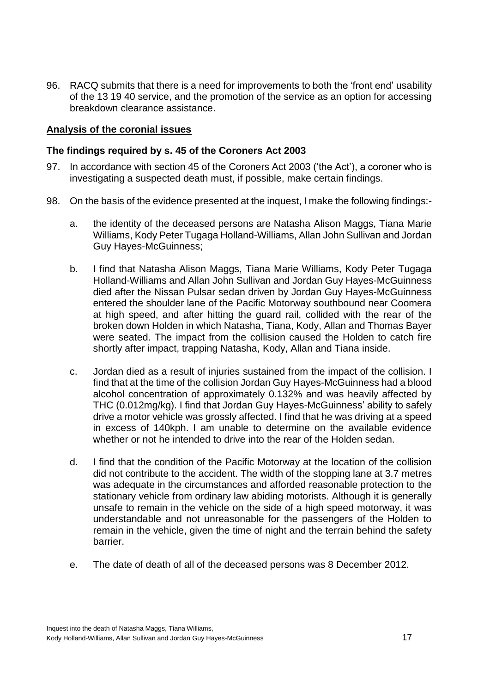96. RACQ submits that there is a need for improvements to both the 'front end' usability of the 13 19 40 service, and the promotion of the service as an option for accessing breakdown clearance assistance.

#### **Analysis of the coronial issues**

#### <span id="page-19-0"></span>**The findings required by s. 45 of the Coroners Act 2003**

- 97. In accordance with section 45 of the Coroners Act 2003 ('the Act'), a coroner who is investigating a suspected death must, if possible, make certain findings.
- 98. On the basis of the evidence presented at the inquest, I make the following findings:
	- a. the identity of the deceased persons are Natasha Alison Maggs, Tiana Marie Williams, Kody Peter Tugaga Holland-Williams, Allan John Sullivan and Jordan Guy Hayes-McGuinness;
	- b. I find that Natasha Alison Maggs, Tiana Marie Williams, Kody Peter Tugaga Holland-Williams and Allan John Sullivan and Jordan Guy Hayes-McGuinness died after the Nissan Pulsar sedan driven by Jordan Guy Hayes-McGuinness entered the shoulder lane of the Pacific Motorway southbound near Coomera at high speed, and after hitting the guard rail, collided with the rear of the broken down Holden in which Natasha, Tiana, Kody, Allan and Thomas Bayer were seated. The impact from the collision caused the Holden to catch fire shortly after impact, trapping Natasha, Kody, Allan and Tiana inside.
	- c. Jordan died as a result of injuries sustained from the impact of the collision. I find that at the time of the collision Jordan Guy Hayes-McGuinness had a blood alcohol concentration of approximately 0.132% and was heavily affected by THC (0.012mg/kg). I find that Jordan Guy Hayes-McGuinness' ability to safely drive a motor vehicle was grossly affected. I find that he was driving at a speed in excess of 140kph. I am unable to determine on the available evidence whether or not he intended to drive into the rear of the Holden sedan.
	- d. I find that the condition of the Pacific Motorway at the location of the collision did not contribute to the accident. The width of the stopping lane at 3.7 metres was adequate in the circumstances and afforded reasonable protection to the stationary vehicle from ordinary law abiding motorists. Although it is generally unsafe to remain in the vehicle on the side of a high speed motorway, it was understandable and not unreasonable for the passengers of the Holden to remain in the vehicle, given the time of night and the terrain behind the safety barrier.
	- e. The date of death of all of the deceased persons was 8 December 2012.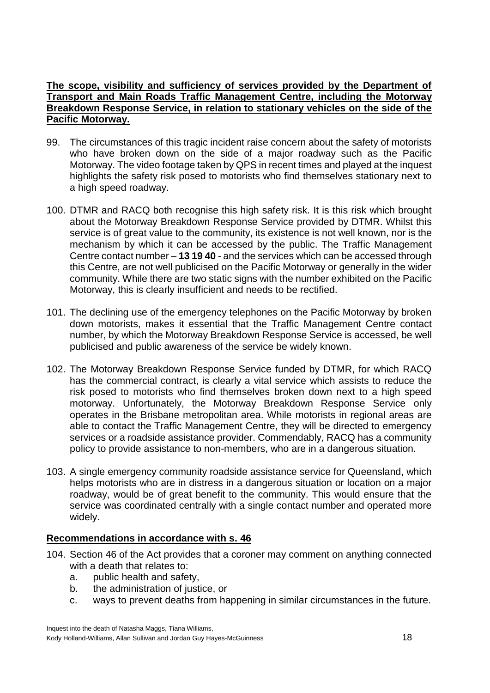# **The scope, visibility and sufficiency of services provided by the Department of Transport and Main Roads Traffic Management Centre, including the Motorway Breakdown Response Service, in relation to stationary vehicles on the side of the Pacific Motorway.**

- 99. The circumstances of this tragic incident raise concern about the safety of motorists who have broken down on the side of a major roadway such as the Pacific Motorway. The video footage taken by QPS in recent times and played at the inquest highlights the safety risk posed to motorists who find themselves stationary next to a high speed roadway.
- 100. DTMR and RACQ both recognise this high safety risk. It is this risk which brought about the Motorway Breakdown Response Service provided by DTMR. Whilst this service is of great value to the community, its existence is not well known, nor is the mechanism by which it can be accessed by the public. The Traffic Management Centre contact number – **13 19 40** - and the services which can be accessed through this Centre, are not well publicised on the Pacific Motorway or generally in the wider community. While there are two static signs with the number exhibited on the Pacific Motorway, this is clearly insufficient and needs to be rectified.
- 101. The declining use of the emergency telephones on the Pacific Motorway by broken down motorists, makes it essential that the Traffic Management Centre contact number, by which the Motorway Breakdown Response Service is accessed, be well publicised and public awareness of the service be widely known.
- 102. The Motorway Breakdown Response Service funded by DTMR, for which RACQ has the commercial contract, is clearly a vital service which assists to reduce the risk posed to motorists who find themselves broken down next to a high speed motorway. Unfortunately, the Motorway Breakdown Response Service only operates in the Brisbane metropolitan area. While motorists in regional areas are able to contact the Traffic Management Centre, they will be directed to emergency services or a roadside assistance provider. Commendably, RACQ has a community policy to provide assistance to non-members, who are in a dangerous situation.
- 103. A single emergency community roadside assistance service for Queensland, which helps motorists who are in distress in a dangerous situation or location on a major roadway, would be of great benefit to the community. This would ensure that the service was coordinated centrally with a single contact number and operated more widely.

# <span id="page-20-0"></span>**Recommendations in accordance with s. 46**

- 104. Section 46 of the Act provides that a coroner may comment on anything connected with a death that relates to:
	- a. public health and safety,
	- b. the administration of justice, or
	- c. ways to prevent deaths from happening in similar circumstances in the future.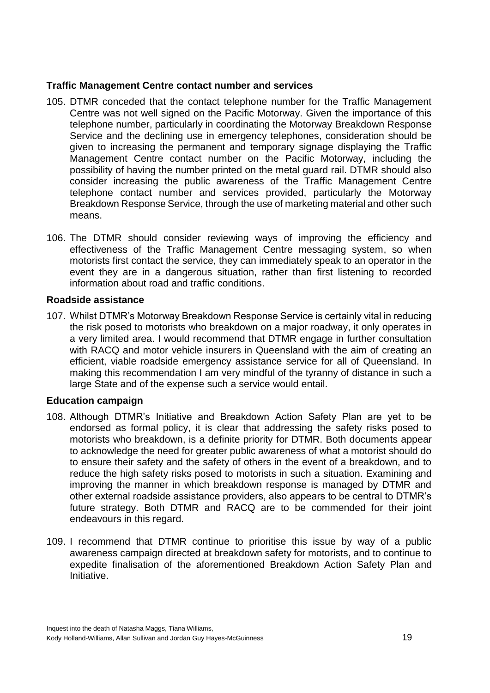# <span id="page-21-0"></span>**Traffic Management Centre contact number and services**

- 105. DTMR conceded that the contact telephone number for the Traffic Management Centre was not well signed on the Pacific Motorway. Given the importance of this telephone number, particularly in coordinating the Motorway Breakdown Response Service and the declining use in emergency telephones, consideration should be given to increasing the permanent and temporary signage displaying the Traffic Management Centre contact number on the Pacific Motorway, including the possibility of having the number printed on the metal guard rail. DTMR should also consider increasing the public awareness of the Traffic Management Centre telephone contact number and services provided, particularly the Motorway Breakdown Response Service, through the use of marketing material and other such means.
- 106. The DTMR should consider reviewing ways of improving the efficiency and effectiveness of the Traffic Management Centre messaging system, so when motorists first contact the service, they can immediately speak to an operator in the event they are in a dangerous situation, rather than first listening to recorded information about road and traffic conditions.

# <span id="page-21-1"></span>**Roadside assistance**

107. Whilst DTMR's Motorway Breakdown Response Service is certainly vital in reducing the risk posed to motorists who breakdown on a major roadway, it only operates in a very limited area. I would recommend that DTMR engage in further consultation with RACQ and motor vehicle insurers in Queensland with the aim of creating an efficient, viable roadside emergency assistance service for all of Queensland. In making this recommendation I am very mindful of the tyranny of distance in such a large State and of the expense such a service would entail.

# <span id="page-21-2"></span>**Education campaign**

- 108. Although DTMR's Initiative and Breakdown Action Safety Plan are yet to be endorsed as formal policy, it is clear that addressing the safety risks posed to motorists who breakdown, is a definite priority for DTMR. Both documents appear to acknowledge the need for greater public awareness of what a motorist should do to ensure their safety and the safety of others in the event of a breakdown, and to reduce the high safety risks posed to motorists in such a situation. Examining and improving the manner in which breakdown response is managed by DTMR and other external roadside assistance providers, also appears to be central to DTMR's future strategy. Both DTMR and RACQ are to be commended for their joint endeavours in this regard.
- 109. I recommend that DTMR continue to prioritise this issue by way of a public awareness campaign directed at breakdown safety for motorists, and to continue to expedite finalisation of the aforementioned Breakdown Action Safety Plan and Initiative.